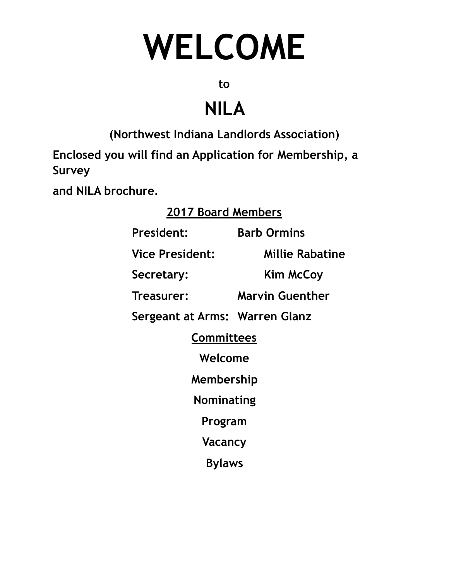# **WELCOME**

**to** 

## **NILA**

**(Northwest Indiana Landlords Association)** 

**Enclosed you will find an Application for Membership, a Survey** 

**and NILA brochure.** 

#### **2017 Board Members**

**President: Barb Ormins Vice President: Millie Rabatine Secretary: Kim McCoy Treasurer: Marvin Guenther Sergeant at Arms: Warren Glanz Committees Welcome Membership Nominating Program Vacancy Bylaws**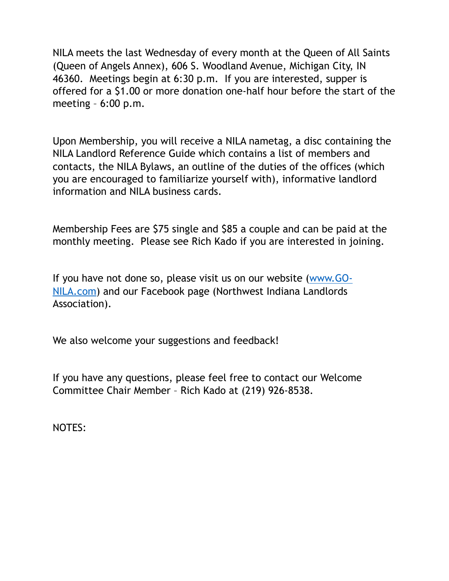NILA meets the last Wednesday of every month at the Queen of All Saints (Queen of Angels Annex), 606 S. Woodland Avenue, Michigan City, IN 46360. Meetings begin at 6:30 p.m. If you are interested, supper is offered for a \$1.00 or more donation one-half hour before the start of the meeting – 6:00 p.m.

Upon Membership, you will receive a NILA nametag, a disc containing the NILA Landlord Reference Guide which contains a list of members and contacts, the NILA Bylaws, an outline of the duties of the offices (which you are encouraged to familiarize yourself with), informative landlord information and NILA business cards.

Membership Fees are \$75 single and \$85 a couple and can be paid at the monthly meeting. Please see Rich Kado if you are interested in joining.

[If you have not done so, please visit us on our website \(www.GO-](http://www.GO-NILA.com)NILA.com) and our Facebook page (Northwest Indiana Landlords Association).

We also welcome your suggestions and feedback!

If you have any questions, please feel free to contact our Welcome Committee Chair Member – Rich Kado at (219) 926-8538.

NOTES: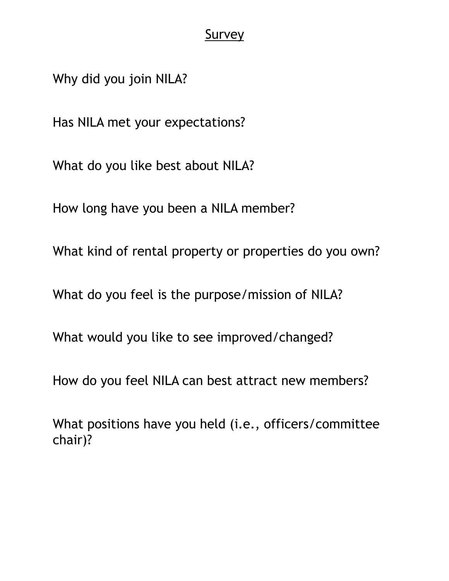#### **Survey**

Why did you join NILA?

Has NILA met your expectations?

What do you like best about NILA?

How long have you been a NILA member?

What kind of rental property or properties do you own?

What do you feel is the purpose/mission of NILA?

What would you like to see improved/changed?

How do you feel NILA can best attract new members?

What positions have you held (i.e., officers/committee chair)?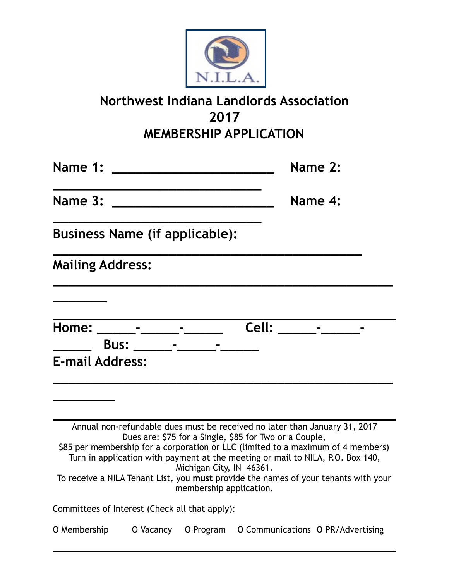

### **Northwest Indiana Landlords Association 2017 MEMBERSHIP APPLICATION**

| Name 1:                                        |                                                                                                                                                                                                                                |                                                     |                                                                                                                                      | Name 2:                                                                                                                                                                                                                                                   |
|------------------------------------------------|--------------------------------------------------------------------------------------------------------------------------------------------------------------------------------------------------------------------------------|-----------------------------------------------------|--------------------------------------------------------------------------------------------------------------------------------------|-----------------------------------------------------------------------------------------------------------------------------------------------------------------------------------------------------------------------------------------------------------|
| Name 3:                                        |                                                                                                                                                                                                                                |                                                     |                                                                                                                                      | Name 4:                                                                                                                                                                                                                                                   |
| <b>Business Name (if applicable):</b>          |                                                                                                                                                                                                                                |                                                     |                                                                                                                                      |                                                                                                                                                                                                                                                           |
| <b>Mailing Address:</b>                        |                                                                                                                                                                                                                                |                                                     |                                                                                                                                      |                                                                                                                                                                                                                                                           |
|                                                |                                                                                                                                                                                                                                |                                                     |                                                                                                                                      |                                                                                                                                                                                                                                                           |
| Home: _______-_______-_____                    |                                                                                                                                                                                                                                |                                                     |                                                                                                                                      |                                                                                                                                                                                                                                                           |
|                                                | Bus: North State State State State State State State State State State State State State State State State State State State State State State State State State State State State State State Street, State State State State |                                                     |                                                                                                                                      |                                                                                                                                                                                                                                                           |
| <b>E-mail Address:</b>                         |                                                                                                                                                                                                                                |                                                     |                                                                                                                                      |                                                                                                                                                                                                                                                           |
|                                                |                                                                                                                                                                                                                                |                                                     |                                                                                                                                      |                                                                                                                                                                                                                                                           |
|                                                |                                                                                                                                                                                                                                | Michigan City, IN 46361.<br>membership application. | Annual non-refundable dues must be received no later than January 31, 2017<br>Dues are: \$75 for a Single, \$85 for Two or a Couple, | \$85 per membership for a corporation or LLC (limited to a maximum of 4 members)<br>Turn in application with payment at the meeting or mail to NILA, P.O. Box 140,<br>To receive a NILA Tenant List, you must provide the names of your tenants with your |
| Committees of Interest (Check all that apply): |                                                                                                                                                                                                                                |                                                     |                                                                                                                                      |                                                                                                                                                                                                                                                           |
| O Membership                                   | O Vacancy                                                                                                                                                                                                                      | O Program                                           |                                                                                                                                      | O Communications O PR/Advertising                                                                                                                                                                                                                         |